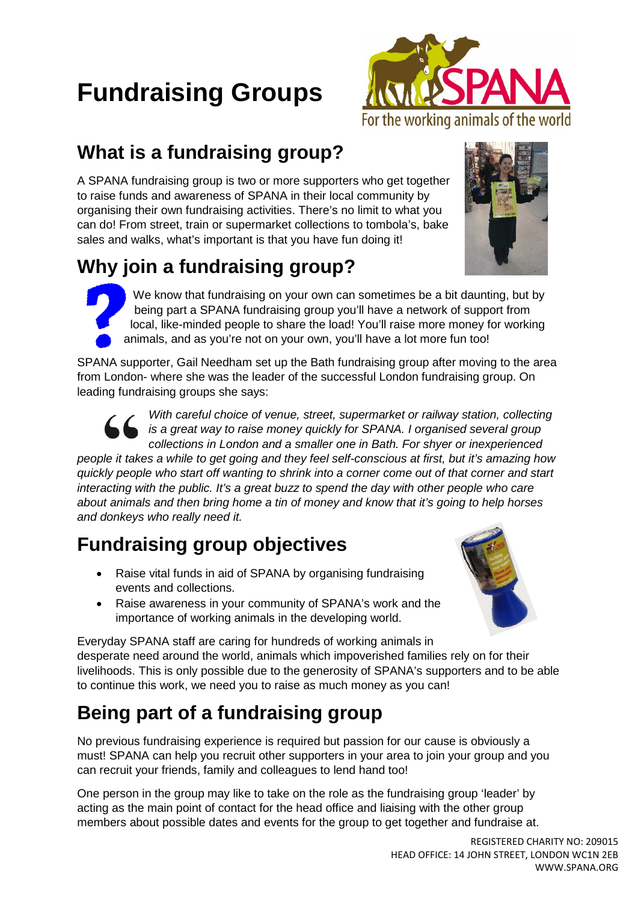# **Fundraising Groups**



#### **What is a fundraising group?**

A SPANA fundraising group is two or more supporters who get together to raise funds and awareness of SPANA in their local community by organising their own fundraising activities. There's no limit to what you can do! From street, train or supermarket collections to tombola's, bake sales and walks, what's important is that you have fun doing it!

## **Why join a fundraising group?**

We know that fundraising on your own can sometimes be a bit daunting, but by being part a SPANA fundraising group you'll have a network of support from local, like-minded people to share the load! You'll raise more money for working animals, and as you're not on your own, you'll have a lot more fun too!

SPANA supporter, Gail Needham set up the Bath fundraising group after moving to the area from London- where she was the leader of the successful London fundraising group. On leading fundraising groups she says:



*With careful choice of venue, street, supermarket or railway station, collecting is a great way to raise money quickly for SPANA. I organised several group collections in London and a smaller one in Bath. For shyer or inexperienced* 

*people it takes a while to get going and they feel self-conscious at first, but it's amazing how quickly people who start off wanting to shrink into a corner come out of that corner and start interacting with the public. It's a great buzz to spend the day with other people who care about animals and then bring home a tin of money and know that it's going to help horses and donkeys who really need it.*

#### **Fundraising group objectives**

- Raise vital funds in aid of SPANA by organising fundraising events and collections.
- Raise awareness in your community of SPANA's work and the importance of working animals in the developing world.



Everyday SPANA staff are caring for hundreds of working animals in desperate need around the world, animals which impoverished families rely on for their livelihoods. This is only possible due to the generosity of SPANA's supporters and to be able to continue this work, we need you to raise as much money as you can!

### **Being part of a fundraising group**

No previous fundraising experience is required but passion for our cause is obviously a must! SPANA can help you recruit other supporters in your area to join your group and you can recruit your friends, family and colleagues to lend hand too!

One person in the group may like to take on the role as the fundraising group 'leader' by acting as the main point of contact for the head office and liaising with the other group members about possible dates and events for the group to get together and fundraise at.